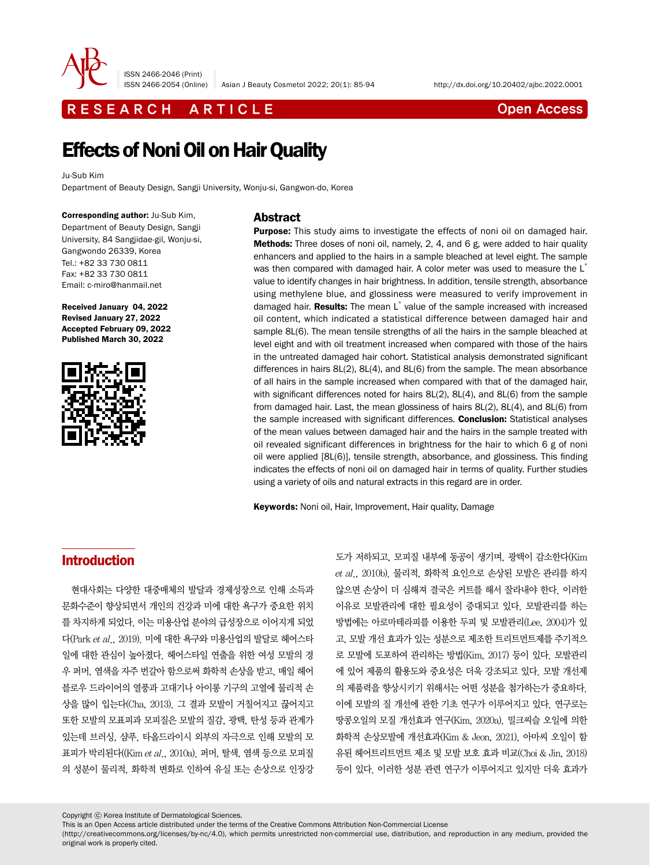

ISSN 2466-2046 (Print)

ISSN 2466-2054 (Online) Asian J Beauty Cosmetol 2022; 20(1): 85-94 http://dx.doi.org/10.20402/ajbc.2022.0001

# R E S E A R C H A R T I C L E CHE COME CONTROLLER CONTROLLER CONTROLLER CONTROLLER CONTROLLER CONTROLLER CONTROLLER CONTROLLER CONTROLLER CONTROLLER CONTROLLER CONTROLLER CONTROLLER CONTROLLER CONTROLLER CONTROLLER CONTROL

# Effects of Noni Oil on Hair Quality

Ju-Sub Kim

Department of Beauty Design, Sangji University, Wonju-si, Gangwon-do, Korea

Corresponding author: Ju-Sub Kim, Department of Beauty Design, Sangji University, 84 Sangjidae-gil, Wonju-si, Gangwondo 26339, Korea Tel.: +82 33 730 0811 Fax: +82 33 730 0811 Email: c-miro@hanmail.net

Received January 04, 2022 Revised January 27, 2022 Accepted February 09, 2022 Published March 30, 2022



#### **Abstract**

**Purpose:** This study aims to investigate the effects of noni oil on damaged hair. Methods: Three doses of noni oil, namely, 2, 4, and 6 g, were added to hair quality enhancers and applied to the hairs in a sample bleached at level eight. The sample was then compared with damaged hair. A color meter was used to measure the L<sup>\*</sup> value to identify changes in hair brightness. In addition, tensile strength, absorbance using methylene blue, and glossiness were measured to verify improvement in damaged hair. Results: The mean L<sup>\*</sup> value of the sample increased with increased oil content, which indicated a statistical difference between damaged hair and sample 8L(6). The mean tensile strengths of all the hairs in the sample bleached at level eight and with oil treatment increased when compared with those of the hairs in the untreated damaged hair cohort. Statistical analysis demonstrated significant differences in hairs 8L(2), 8L(4), and 8L(6) from the sample. The mean absorbance of all hairs in the sample increased when compared with that of the damaged hair, with significant differences noted for hairs 8L(2), 8L(4), and 8L(6) from the sample from damaged hair. Last, the mean glossiness of hairs 8L(2), 8L(4), and 8L(6) from the sample increased with significant differences. Conclusion: Statistical analyses of the mean values between damaged hair and the hairs in the sample treated with oil revealed significant differences in brightness for the hair to which 6 g of noni oil were applied [8L(6)], tensile strength, absorbance, and glossiness. This finding indicates the effects of noni oil on damaged hair in terms of quality. Further studies using a variety of oils and natural extracts in this regard are in order.

Keywords: Noni oil, Hair, Improvement, Hair quality, Damage

# Introduction

현대사회는 다양한 대중매체의 발달과 경제성장으로 인해 소득과 문화수준이 향상되면서 개인의 건강과 미에 대한 욕구가 중요한 위치 를 차지하게 되었다. 이는 미용산업 분야의 급성장으로 이어지게 되었 다(Park et al., 2019). 미에 대한 욕구와 미용산업의 발달로 헤어스타 일에 대한 관심이 높아졌다. 헤어스타일 연출을 위한 여성 모발의 경 우 퍼머, 염색을 자주 번갈아 함으로써 화학적 손상을 받고, 매일 헤어 블로우 드라이어의 열풍과 고대기나 아이롱 기구의 고열에 물리적 손 상을 많이 입는다(Cha, 2013). 그 결과 모발이 거칠어지고 끊어지고 또한 모발의 모표피과 모피질은 모발의 질감, 광택, 탄성 등과 관계가 있는데 브러싱, 샴푸, 타올드라이시 외부의 자극으로 인해 모발의 모 표피가 박리된다((Kim et al., 2010a). 퍼머, 탈색, 염색 등으로 모피질 의 성분이 물리적, 화학적 변화로 인하여 유실 또는 손상으로 인장강

도가 저하되고, 모피질 내부에 동공이 생기며, 광택이 감소한다(Kim et al., 2010b). 물리적, 화학적 요인으로 손상된 모발은 관리를 하지 않으면 손상이 더 심해져 결국은 커트를 해서 잘라내야 한다. 이러한 이유로 모발관리에 대한 필요성이 증대되고 있다. 모발관리를 하는 방법에는 아로마테라피를 이용한 두피 및 모발관리(Lee, 2004)가 있 고, 모발 개선 효과가 있는 성분으로 제조한 트리트먼트제를 주기적으 로 모발에 도포하여 관리하는 방법(Kim, 2017) 등이 있다. 모발관리 에 있어 제품의 활용도와 중요성은 더욱 강조되고 있다. 모발 개선제 의 제품력을 향상시키기 위해서는 어떤 성분을 첨가하는가 중요하다. 이에 모발의 질 개선에 관한 기초 연구가 이루어지고 있다. 연구로는 땅콩오일의 모질 개선효과 연구(Kim, 2020a), 밀크씨슬 오일에 의한 화학적 손상모발에 개선효과(Kim & Jeon, 2021), 아마씨 오일이 함 유된 헤어트리트먼트 제조 및 모발 보호 효과 비교(Choi & Jin, 2018) 등이 있다. 이러한 성분 관련 연구가 이루어지고 있지만 더욱 효과가

Copyright ⓒ Korea Institute of Dermatological Sciences.

This is an Open Access article distributed under the terms of the Creative Commons Attribution Non-Commercial License

(http://creativecommons.org/licenses/by-nc/4.0), which permits unrestricted non-commercial use, distribution, and reproduction in any medium, provided the original work is properly cited.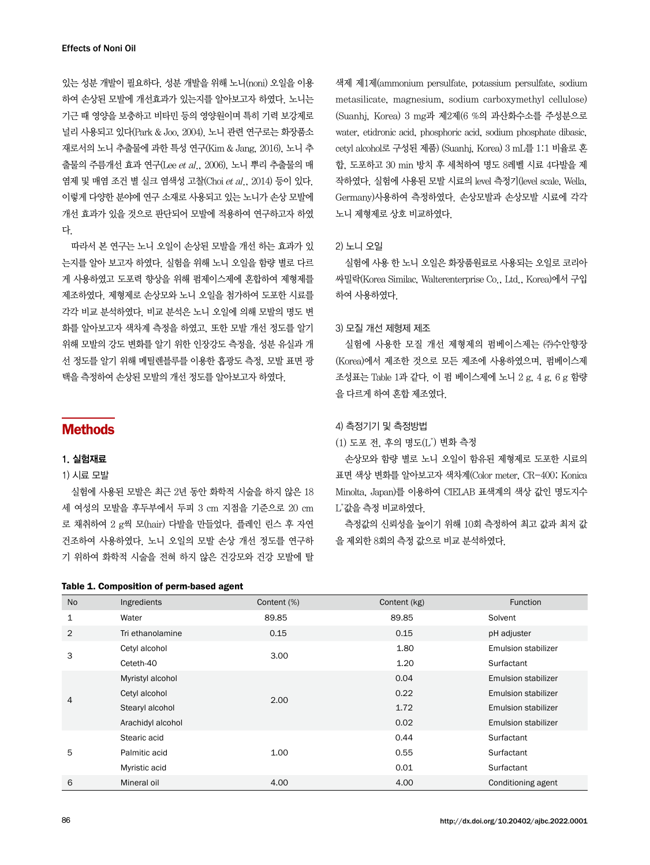있는 성분 개발이 필요하다. 성분 개발을 위해 노니(noni) 오일을 이용 하여 손상된 모발에 개선효과가 있는지를 알아보고자 하였다. 노니는 기근 때 영양을 보충하고 비타민 등의 영양원이며 특히 기력 보강제로 널리 사용되고 있다(Park & Joo, 2004). 노니 관련 연구로는 화장품소 재로서의 노니 추출물에 과한 특성 연구(Kim & Jang, 2016), 노니 추 출물의 주름개선 효과 연구(Lee et al., 2006), 노니 뿌리 추출물의 매 염제 및 매염 조건 별 실크 염색성 고찰(Choi et al., 2014) 등이 있다. 이렇게 다양한 분야에 연구 소재로 사용되고 있는 노니가 손상 모발에 개선 효과가 있을 것으로 판단되어 모발에 적용하여 연구하고자 하였 다.

따라서 본 연구는 노니 오일이 손상된 모발을 개선 하는 효과가 있 는지를 알아 보고자 하였다. 실험을 위해 노니 오일을 함량 별로 다르 게 사용하였고 도포력 향상을 위해 펌제이스제에 혼합하여 제형제를 제조하였다. 제형제로 손상모와 노니 오일을 첨가하여 도포한 시료를 각각 비교 분석하였다. 비교 분석은 노니 오일에 의해 모발의 명도 변 화를 알아보고자 색차계 측정을 하였고, 또한 모발 개선 정도를 알기 위해 모발의 강도 변화를 알기 위한 인장강도 측정을, 성분 유실과 개 선 정도를 알기 위해 메틸렌블루를 이용한 흡광도 측정, 모발 표면 광 택을 측정하여 손상된 모발의 개선 정도를 알아보고자 하였다.

## Methods

#### 1. 실험재료

#### 1) 시료 모발

실험에 사용된 모발은 최근 2년 동안 화학적 시술을 하지 않은 18 세 여성의 모발을 후두부에서 두피 3 cm 지점을 기준으로 20 cm 로 채취하여 2 g씩 모(hair) 다발을 만들었다. 플레인 린스 후 자연 건조하여 사용하였다. 노니 오일의 모발 손상 개선 정도를 연구하 기 위하여 화학적 시술을 전혀 하지 않은 건강모와 건강 모발에 탈

|  | Table 1. Composition of perm-based agent |  |  |  |
|--|------------------------------------------|--|--|--|
|--|------------------------------------------|--|--|--|

색제 제1제(ammonium persulfate, potassium persulfate, sodium metasilicate, magnesium, sodium carboxymethyl cellulose) (Suanhj, Korea) 3 mg과 제2제(6 %의 과산화수소를 주성분으로 water, etidronic acid, phosphoric acid, sodium phosphate dibasic, cetyl alcohol로 구성된 제품) (Suanhj, Korea) 3 mL를 1:1 비율로 혼 합, 도포하고 30 min 방치 후 세척하여 명도 8레벨 시료 4다발을 제 작하였다. 실험에 사용된 모발 시료의 level 측정기(level scale, Wella, Germany)사용하여 측정하였다. 손상모발과 손상모발 시료에 각각 노니 제형제로 상호 비교하였다.

#### 2) 노니 오일

실험에 사용 한 노니 오일은 화장품원료로 사용되는 오일로 코리아 싸밀락(Korea Similac, Walterenterprise Co., Ltd., Korea)에서 구입 하여 사용하였다.

#### 3) 모질 개선 제형제 제조

실험에 사용한 모질 개선 제형제의 펌베이스제는 ㈜수안향장 (Korea)에서 제조한 것으로 모든 제조에 사용하였으며, 펌베이스제 조성표는 Table 1과 같다. 이 펌 베이스제에 노니 2 g, 4 g, 6 g 함량 을 다르게 하여 혼합 제조였다.

#### 4) 측정기기 및 측정방법

(1) 도포 전, 후의 명도(L\* ) 변화 측정

손상모와 함량 별로 노니 오일이 함유된 제형제로 도포한 시료의 표면 색상 변화를 알아보고자 색차계(Color meter, CR-400; Konica Minolta, Japan)를 이용하여 CIELAB 표색계의 색상 값인 명도지수 L\* 값을 측정 비교하였다.

측정값의 신뢰성을 높이기 위해 10회 측정하여 최고 값과 최저 값 을 제외한 8회의 측정 값으로 비교 분석하였다.

| <b>No</b>      | Ingredients       | Content (%) | Content (kg) | Function                   |
|----------------|-------------------|-------------|--------------|----------------------------|
| 1              | Water             | 89.85       | 89.85        | Solvent                    |
| $\overline{2}$ | Tri ethanolamine  | 0.15        | 0.15         | pH adjuster                |
| 3              | Cetyl alcohol     | 3.00        | 1.80         | <b>Emulsion stabilizer</b> |
|                | Ceteth-40         |             | 1.20         | Surfactant                 |
| 4              | Myristyl alcohol  |             | 0.04         | <b>Emulsion stabilizer</b> |
|                | Cetyl alcohol     | 2.00        | 0.22         | <b>Emulsion stabilizer</b> |
|                | Stearyl alcohol   |             | 1.72         | <b>Emulsion stabilizer</b> |
|                | Arachidyl alcohol |             | 0.02         | <b>Emulsion stabilizer</b> |
| 5              | Stearic acid      |             | 0.44         | Surfactant                 |
|                | Palmitic acid     | 1.00        | 0.55         | Surfactant                 |
|                | Myristic acid     |             | 0.01         | Surfactant                 |
| 6              | Mineral oil       | 4.00        | 4.00         | Conditioning agent         |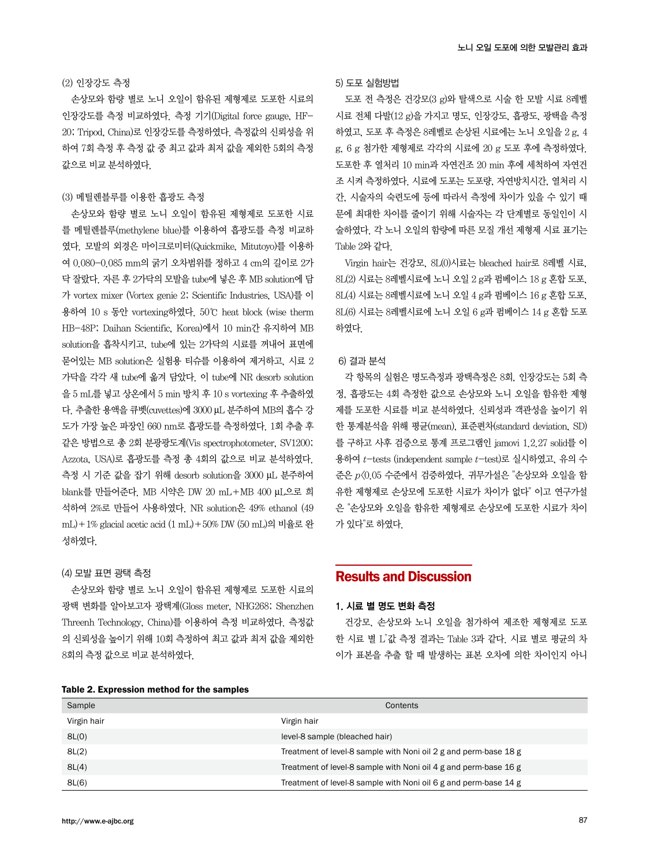#### (2) 인장강도 측정

손상모와 함량 별로 노니 오일이 함유된 제형제로 도포한 시료의 인장강도를 측정 비교하였다. 측정 기기(Digital force gauge, HF-20; Tripod, China)로 인장강도를 측정하였다. 측정값의 신뢰성을 위 하여 7회 측정 후 측정 값 중 최고 값과 최저 값을 제외한 5회의 측정 값으로 비교 분석하였다.

#### (3) 메틸렌블루를 이용한 흡광도 측정

손상모와 함량 별로 노니 오일이 함유된 제형제로 도포한 시료 를 메틸렌블루(methylene blue)를 이용하여 흡광도를 측정 비교하 였다. 모발의 외경은 마이크로미터(Quickmike, Mitutoyo)를 이용하 여 0.080-0.085 mm의 굵기 오차범위를 정하고 4 cm의 길이로 2가 닥 잘랐다. 자른 후 2가닥의 모발을 tube에 넣은 후 MB solution에 담 가 vortex mixer (Vortex genie 2; Scientific Industries, USA)를 이 용하여 10 s 동안 vortexing하였다. 50℃ heat block (wise therm HB-48P; Daihan Scientific, Korea)에서 10 min간 유지하여 MB solution을 흡착시키고, tube에 있는 2가닥의 시료를 꺼내어 표면에 묻어있는 MB solution은 실험용 티슈를 이용하여 제거하고, 시료 2 가닥을 각각 새 tube에 옮겨 담았다. 이 tube에 NR desorb solution 을 5 mL를 넣고 상온에서 5 min 방치 후 10 s vortexing 후 추출하였 다. 추출한 용액을 큐벳(cuvettes)에 3000 μL 분주하여 MB의 흡수 강 도가 가장 높은 파장인 660 nm로 흡광도를 측정하였다. 1회 추출 후 같은 방법으로 총 2회 분광광도계(Vis spectrophotometer, SV1200; Azzota, USA)로 흡광도를 측정 총 4회의 값으로 비교 분석하였다. 측정 시 기준 값을 잡기 위해 desorb solution을 3000 μL 분주하여 blank를 만들어준다. MB 시약은 DW 20 mL+MB 400 μL으로 희 석하여 2%로 만들어 사용하였다. NR solution은 49% ethanol (49 mL)+1% glacial acetic acid (1 mL)+50% DW (50 mL)의 비율로 완 성하였다.

#### (4) 모발 표면 광택 측정

손상모와 함량 별로 노니 오일이 함유된 제형제로 도포한 시료의 광택 변화를 알아보고자 광택계(Gloss meter, NHG268; Shenzhen Threenh Technology, China)를 이용하여 측정 비교하였다. 측정값 의 신뢰성을 높이기 위해 10회 측정하여 최고 값과 최저 값을 제외한 8회의 측정 값으로 비교 분석하였다.

#### Table 2. Expression method for the samples

#### 5) 도포 실험방법

도포 전 측정은 건강모(3 g)와 탈색으로 시술 한 모발 시료 8레벨 시료 전체 다발(12 g)을 가지고 명도, 인장강도, 흡광도, 광택을 측정 하였고, 도포 후 측정은 8레벨로 손상된 시료에는 노니 오일을 2 g, 4 g, 6 g 첨가한 제형제로 각각의 시료에 20 g 도포 후에 측정하였다. 도포한 후 열처리 10 min과 자연건조 20 min 후에 세척하여 자연건 조 시켜 측정하였다. 시료에 도포는 도포량, 자연방치시간, 열처리 시 간, 시술자의 숙련도에 등에 따라서 측정에 차이가 있을 수 있기 때 문에 최대한 차이를 줄이기 위해 시술자는 각 단계별로 동일인이 시 술하였다. 각 노니 오일의 함량에 따른 모질 개선 제형제 시료 표기는 Table 2와 같다.

Virgin hair는 건강모, 8L(0)시료는 bleached hair로 8레벨 시료, 8L(2) 시료는 8레벨시료에 노니 오일 2 g과 펌베이스 18 g 혼합 도포,  $SL(4)$  시료는 8레벨시료에 노니 오일 4  $g$ 과 펌베이스 16  $g$  혼합 도포,  $SL(6)$  시료는 8레벨시료에 노니 오일 6 g과 펌베이스 14 g 혼합 도포 하였다.

#### 6) 결과 분석

각 항목의 실험은 명도측정과 광택측정은 8회, 인장강도는 5회 측 정, 흡광도는 4회 측정한 값으로 손상모와 노니 오일을 함유한 제형 제를 도포한 시료를 비교 분석하였다. 신뢰성과 객관성을 높이기 위 한 통계분석을 위해 평균(mean), 표준편차(standard deviation, SD) 를 구하고 사후 검증으로 통계 프로그램인 jamovi 1.2.27 solid를 이 용하여 t-tests (independent sample t-test)로 실시하였고, 유의 수 준은 p<0.05 수준에서 검증하였다. 귀무가설은 "손상모와 오일을 함 유한 제형제로 손상모에 도포한 시료가 차이가 없다" 이고 연구가설 은 "손상모와 오일을 함유한 제형제로 손상모에 도포한 시료가 차이 가 있다"로 하였다.

## Results and Discussion

#### 1. 시료 별 명도 변화 측정

건강모, 손상모와 노니 오일을 첨가하여 제조한 제형제로 도포 한 시료 별 L\*값 측정 결과는 Table 3과 같다. 시료 별로 평균의 차 이가 표본을 추출 할 때 발생하는 표본 오차에 의한 차이인지 아니

| Sample      | Contents                                                         |
|-------------|------------------------------------------------------------------|
| Virgin hair | Virgin hair                                                      |
| SL(0)       | level-8 sample (bleached hair)                                   |
| SL(2)       | Treatment of level-8 sample with Noni oil 2 g and perm-base 18 g |
| SL(4)       | Treatment of level-8 sample with Noni oil 4 g and perm-base 16 g |
| SL(6)       | Treatment of level-8 sample with Noni oil 6 g and perm-base 14 g |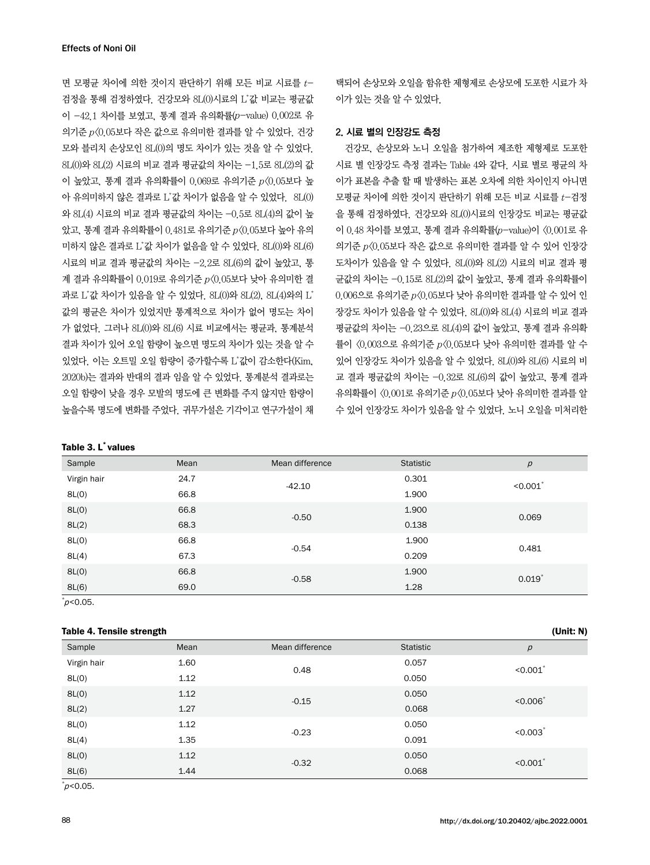면 모평규 차이에 의한 것이지 판단하기 위해 모든 비교 시료를  $t-$ 검정을 통해 검정하였다. 건강모와 8L(0)시료의 L\* 값 비교는 평균값 이 -42.1 차이를 보였고, 통계 결과 유의확률(p-value) 0.002로 유 의기준 p<0.05보다 작은 값으로 유의미한 결과를 알 수 있었다. 건강 모와 블리치 손상모인 8L(0)의 명도 차이가 있는 것을 알 수 있었다. 8L(0)와 8L(2) 시료의 비교 결과 평균값의 차이는 -1.5로 8L(2)의 값 이 높았고, 통계 결과 유의확률이 0.069로 유의기준 p<0.05보다 높 아 유의미하지 않은 결과로 L゙값 차이가 없음을 알 수 있었다.8L(0) 와 8L(4) 시료의 비교 결과 평균값의 차이는 -0.5로 8L(4)의 값이 높 았고, 통계 결과 유의확률이 0.481로 유의기준 p<0.05보다 높아 유의 미하지 않은 결과로 L\* 값 차이가 없음을 알 수 있었다. 8L(0)와 8L(6) 시료의 비교 결과 평균값의 차이는 -2.2로 8L(6)의 값이 높았고, 통 계 결과 유의확률이 0.019로 유의기준  $p(0.05$ 보다 낮아 유의미한 결 과로 L\*값 차이가 있<del>음을</del> 알 수 있었다. 8L(0)와 8L(2), 8L(4)와의 L\* 값의 평균은 차이가 있었지만 통계적으로 차이가 없어 명도는 차이 가 없었다. 그러나 8L(0)와 8L(6) 시료 비교에서는 평균과, 통계분석 결과 차이가 있어 오일 함량이 높으면 명도의 차이가 있는 것을 알 수 있었다. 이는 오트밀 오일 함량이 증가할수록 L\* 값이 감소한다(Kim, 2020b)는 결과와 반대의 결과 임을 알 수 있었다. 통계분석 결과로는 오일 함량이 낮을 경우 모발의 명도에 큰 변화를 주지 않지만 함량이 높을수록 명도에 변화를 주었다. 귀무가설은 기각이고 연구가설이 채

#### Table 3. L<sup>\*</sup> values

택되어 손상모와 오일을 함유한 제형제로 손상모에 도포한 시료가 차 이가 있는 것을 알 수 있었다.

#### 2. 시료 별의 인장강도 측정

건강모, 손상모와 노니 오일을 첨가하여 제조한 제형제로 도포한 시료 별 인장강도 측정 결과는 Table 4와 같다. 시료 별로 평균의 차 이가 표본을 추출 할 때 발생하는 표본 오차에 의한 차이인지 아니면 모평균 차이에 의한 것이지 판단하기 위해 모든 비교 시료를  $t-$ 검정 을 통해 검정하였다. 건강모와 8L(0)시료의 인장강도 비교는 평균값 이 0.48 차이를 보였고, 통계 결과 유의확률(p-value)이 <0.001로 유 의기준 p<0.05보다 작은 값으로 유의미한 결과를 알 수 있어 인장강 도차이가 있음을 알 수 있었다. 8L(0)와 8L(2) 시료의 비교 결과 평 균값의 차이는 -0.15로 8L(2)의 값이 높았고, 통계 결과 유의확률이  $0.006$ 으로 유의기준  $p(0.05$ 보다 낮아 유의미한 결과를 알 수 있어 인 장강도 차이가 있음을 알 수 있었다. 8L(0)와 8L(4) 시료의 비교 결과 평균값의 차이는 -0.23으로 8L(4)의 값이 높았고, 통계 결과 유의확 률이  $(0.003$ 으로 유의기준  $p(0.05$ 보다 낮아 유의미한 결과를 알 수 있어 인장강도 차이가 있음을 알 수 있었다. 8L(0)와 8L(6) 시료의 비 교 결과 평균값의 차이는 -0.32로 8L(6)의 값이 높았고, 통계 결과 유의확률이 <0.001로 유의기준 p<0.05보다 낮아 유의미한 결과를 알 수 있어 인장강도 차이가 있음을 알 수 있었다. 노니 오일을 미처리한

| Sample      | Mean | Mean difference | Statistic | p         |
|-------------|------|-----------------|-----------|-----------|
| Virgin hair | 24.7 | $-42.10$        | 0.301     | < 0.001   |
| SL(0)       | 66.8 |                 | 1.900     |           |
| SL(0)       | 66.8 | $-0.50$         | 1.900     | 0.069     |
| 8L(2)       | 68.3 |                 | 0.138     |           |
| SL(0)       | 66.8 | $-0.54$         | 1.900     | 0.481     |
| 8L(4)       | 67.3 |                 | 0.209     |           |
| SL(0)       | 66.8 | $-0.58$         | 1.900     | $0.019$ * |
| 8L(6)       | 69.0 |                 | 1.28      |           |

 $\check{}p$ <0.05.

#### Table 4. Tensile strength (Unit: N) and the strength (Unit: N)

| Sample      | Mean | Mean difference | Statistic | р          |
|-------------|------|-----------------|-----------|------------|
| Virgin hair | 1.60 | 0.48            | 0.057     | < 0.001    |
| SL(0)       | 1.12 |                 | 0.050     |            |
| 8L(0)       | 1.12 |                 | 0.050     | $< 0.006*$ |
| 8L(2)       | 1.27 | $-0.15$         | 0.068     |            |
| 8L(0)       | 1.12 | $-0.23$         | 0.050     | < 0.003    |
| 8L(4)       | 1.35 |                 | 0.091     |            |
| SL(0)       | 1.12 | $-0.32$         | 0.050     | < 0.001    |
| 8L(6)       | 1.44 |                 | 0.068     |            |

 $\check{}p$ <0.05.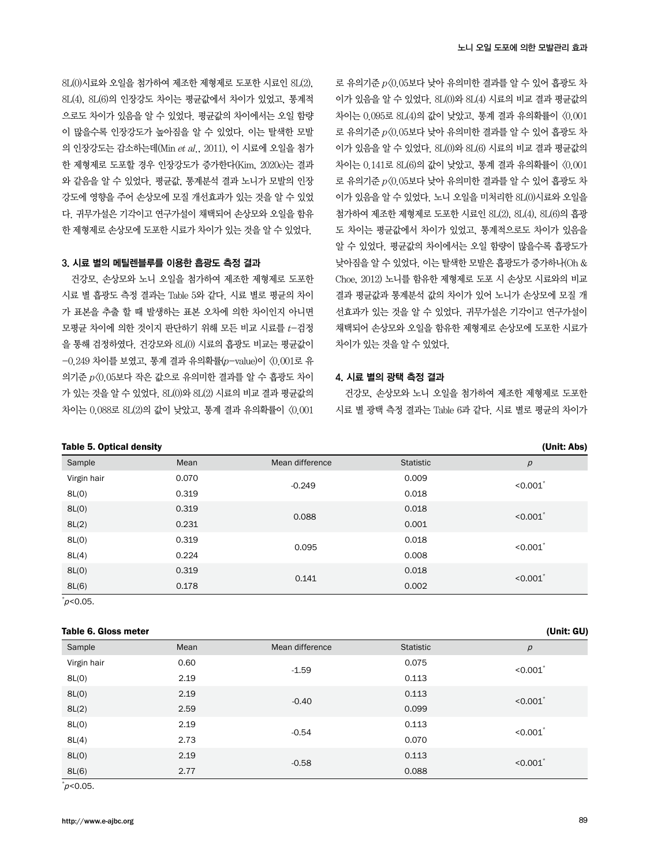$8L(0)$ 시료와 오일을 첨가하여 제조한 제형제로 도포한 시료인  $8L(2)$ 8L(4), 8L(6)의 인장강도 차이는 평균값에서 차이가 있었고, 통계적 으로도 차이가 있음을 알 수 있었다. 평균값의 차이에서는 오일 함량 이 많을수록 인장강도가 높아짐을 알 수 있었다. 이는 탈색한 모발 의 인장강도는 감소하는데(Min et al., 2011), 이 시료에 오일을 첨가 한 제형제로 도포할 경우 인장강도가 증가한다(Kim, 2020c)는 결과 와 같음을 알 수 있었다. 평균값, 통계분석 결과 노니가 모발의 인장 강도에 영향을 주어 손상모에 모질 개선효과가 있는 것을 알 수 있었 다. 귀무가설은 기각이고 연구가설이 채택되어 손상모와 오일을 함유 한 제형제로 손상모에 도포한 시료가 차이가 있는 것을 알 수 있었다.

#### 3. 시료 별의 메틸렌블루를 이용한 흡광도 측정 결과

건강모, 손상모와 노니 오일을 첨가하여 제조한 제형제로 도포한 시료 별 흡광도 측정 결과는 Table 5와 같다. 시료 별로 평균의 차이 가 표본을 추출 할 때 발생하는 표본 오차에 의한 차이인지 아니면 모평균 차이에 의한 것이지 판단하기 위해 모든 비교 시료를 t-검정 을 통해 검정하였다. 건강모와 8L(0) 시료의 흡광도 비교는 평균값이  $-0.249$  차이를 보였고, 통계 결과 유의확률 $(p$ -value)이  $\langle 0.001$ 로 유 의기준 p<0.05보다 작은 값으로 유의미한 결과를 알 수 흡광도 차이 가 있는 것을 알 수 있었다. 8L(0)와 8L(2) 시료의 비교 결과 평균값의 차이는 0.088로 8L(2)의 값이 낮았고, 통계 결과 유의확률이 <0.001

#### Table 5. Optical density (Unit: Abs)

로 유의기준 p<0.05보다 낮아 유의미한 결과를 알 수 있어 흡광도 차 이가 있음을 알 수 있었다. 8L(0)와 8L(4) 시료의 비교 결과 평균값의 차이는 0.095로 8L(4)의 값이 낮았고, 통계 결과 유의확률이 <0.001 로 유의기준 p<0.05보다 낮아 유의미한 결과를 알 수 있어 흡광도 차 이가 있음을 알 수 있었다. 8L(0)와 8L(6) 시료의 비교 결과 평균값의 차이는 0.141로 8L(6)의 값이 낮았고, 통계 결과 유의확률이 <0.001 로 유의기준 p<0.05보다 낮아 유의미한 결과를 알 수 있어 흡광도 차 이가 있음을 알 수 있었다. 노니 오일을 미처리한 8L(0)시료와 오일을 첨가하여 제조한 제형제로 도포한 시료인 8L(2), 8L(4), 8L(6)의 흡광 도 차이는 평균값에서 차이가 있었고, 통계적으로도 차이가 있음을 알 수 있었다. 평균값의 차이에서는 오일 함량이 많을수록 흡광도가 낮아짐을 알 수 있었다. 이는 탈색한 모발은 흡광도가 증가하나(Oh & Choe, 2012) 노니를 함유한 제형제로 도포 시 손상모 시료와의 비교 결과 평균값과 통계분석 값의 차이가 있어 노니가 손상모에 모질 개 선효과가 있는 것을 알 수 있었다. 귀무가설은 기각이고 연구가설이 채택되어 손상모와 오일을 함유한 제형제로 손상모에 도포한 시료가 차이가 있는 것을 알 수 있었다.

#### 4. 시료 별의 광택 측정 결과

건강모, 손상모와 노니 오일을 첨가하여 제조한 제형제로 도포한 시료 별 광택 측정 결과는 Table 6과 같다. 시료 별로 평균의 차이가

|             |       |                 |           | $1 - 1 - 1 - 1 - 1$ |
|-------------|-------|-----------------|-----------|---------------------|
| Sample      | Mean  | Mean difference | Statistic | p                   |
| Virgin hair | 0.070 | $-0.249$        | 0.009     | < 0.001             |
| SL(0)       | 0.319 |                 | 0.018     |                     |
| SL(0)       | 0.319 | 0.088           | 0.018     | < 0.001             |
| SL(2)       | 0.231 |                 | 0.001     |                     |
| SL(0)       | 0.319 | 0.095           | 0.018     | < 0.001             |
| SL(4)       | 0.224 |                 | 0.008     |                     |
| SL(0)       | 0.319 | 0.141           | 0.018     | < 0.001             |
| SL(6)       | 0.178 |                 | 0.002     |                     |

 $\check{}p$ <0.05.

#### Table 6. Gloss meter (Unit: GU)

| Sample      | Mean | Mean difference | Statistic | p       |
|-------------|------|-----------------|-----------|---------|
| Virgin hair | 0.60 |                 | 0.075     | < 0.001 |
| SL(0)       | 2.19 | $-1.59$         | 0.113     |         |
| 8L(0)       | 2.19 |                 | 0.113     | < 0.001 |
| SL(2)       | 2.59 | $-0.40$         | 0.099     |         |
| 8L(0)       | 2.19 | $-0.54$         | 0.113     | < 0.001 |
| 8L(4)       | 2.73 |                 | 0.070     |         |
| 8L(0)       | 2.19 |                 | 0.113     | < 0.001 |
| 8L(6)       | 2.77 | $-0.58$         | 0.088     |         |

 $\check{}p$ <0.05.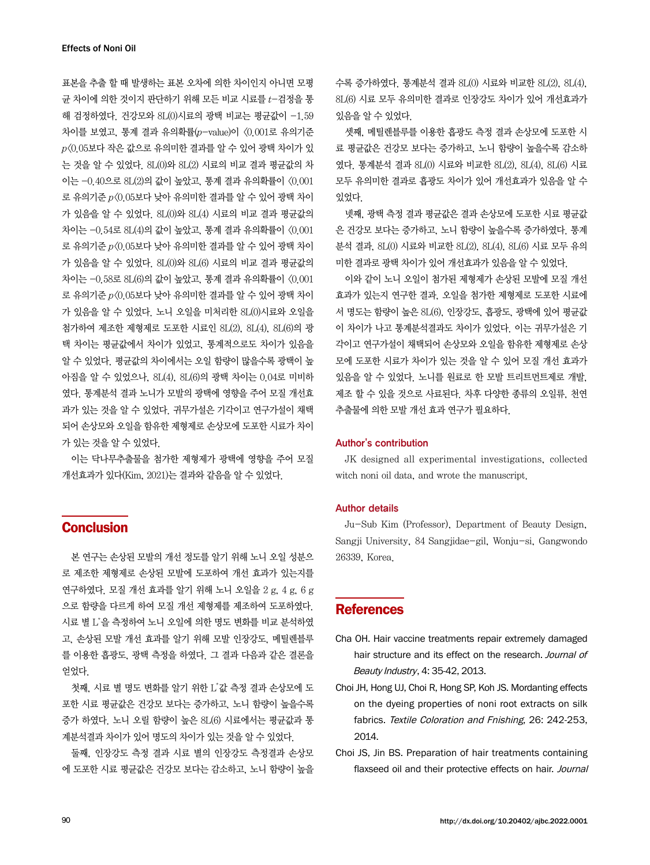표본을 추출 할 때 발생하는 표본 오차에 의한 차이인지 아니면 모평 균 차이에 의한 것이지 판단하기 위해 모든 비교 시료를 t-검정을 통 해 검정하였다. 건강모와 8L(0)시료의 광택 비교는 평균값이 -1.59 차이를 보였고, 통계 결과 유의확률(p-value)이 <0.001로 유의기준  $p(0.05$ 보다 작은 값으로 유의미한 결과를 알 수 있어 광택 차이가 있 는 것을 알 수 있었다. 8L(0)와 8L(2) 시료의 비교 결과 평균값의 차 이는 -0.40으로 8L(2)의 값이 높았고, 통계 결과 유의확률이 <0.001 로 유의기준 p<0.05보다 낮아 유의미한 결과를 알 수 있어 광택 차이 가 있음을 알 수 있었다. 8L(0)와 8L(4) 시료의 비교 결과 평균값의 차이는 -0.54로 8L(4)의 값이 높았고, 통계 결과 유의확률이 <0.001 로 유의기준 p<0.05보다 낮아 유의미한 결과를 알 수 있어 광택 차이 가 있음을 알 수 있었다. 8L(0)와 8L(6) 시료의 비교 결과 평균값의 차이는 -0.58로 8L(6)의 값이 높았고, 통계 결과 유의확률이 <0.001 로 유의기준 p<0.05보다 낮아 유의미한 결과를 알 수 있어 광택 차이 가 있음을 알 수 있었다. 노니 오일을 미처리한 8L(0)시료와 오일을 첨가하여 제조한 제형제로 도포한 시료인 8L(2), 8L(4), 8L(6)의 광 택 차이는 평균값에서 차이가 있었고, 통계적으로도 차이가 있음을 알 수 있었다. 평균값의 차이에서는 오일 함량이 많을수록 광택이 높 아짐을 알 수 있었으나, 8L(4), 8L(6)의 광택 차이는 0.04로 미비하 였다. 통계분석 결과 노니가 모발의 광택에 영향을 주어 모질 개선효 과가 있는 것을 알 수 있었다. 귀무가설은 기각이고 연구가설이 채택 되어 손상모와 오일을 함유한 제형제로 손상모에 도포한 시료가 차이 가 있는 것을 알 수 있었다.

이는 닥나무추출물을 첨가한 제형제가 광택에 영향을 주어 모질 개선효과가 있다(Kim, 2021)는 결과와 같음을 알 수 있었다.

## **Conclusion**

본 연구는 손상된 모발의 개선 정도를 알기 위해 노니 오일 성분으 로 제조한 제형제로 손상된 모발에 도포하여 개선 효과가 있는지를 연구하였다. 모질 개선 효과를 알기 위해 노니 오일을 2 g, 4 g, 6 g 으로 함량을 다르게 하여 모질 개선 제형제를 제조하여 도포하였다. 시료 별 L\* 을 측정하여 노니 오일에 의한 명도 변화를 비교 분석하였 고, 손상된 모발 개선 효과를 알기 위해 모발 인장강도, 메틸렌블루 를 이용한 흡광도, 광택 측정을 하였다. 그 결과 다음과 같은 결론을 얻었다.

첫째, 시료 별 명도 변화를 알기 위한 L\* 값 측정 결과 손상모에 도 포한 시료 평균값은 건강모 보다는 증가하고, 노니 함량이 높을수록 증가 하였다. 노니 오릴 함량이 높은 8L(6) 시료에서는 평균값과 통 계분석결과 차이가 있어 명도의 차이가 있는 것을 알 수 있었다.

둘째, 인장강도 측정 결과 시료 별의 인장강도 측정결과 손상모 에 도포한 시료 평균값은 건강모 보다는 감소하고, 노니 함량이 높을 수록 증가하였다. 통계분석 결과 8L(0) 시료와 비교한 8L(2), 8L(4), 8L(6) 시료 모두 유의미한 결과로 인장강도 차이가 있어 개선효과가 있음을 알 수 있었다.

셋째, 메틸렌블루를 이용한 흡광도 측정 결과 손상모에 도포한 시 료 평균값은 건강모 보다는 증가하고, 노니 함량이 높을수록 감소하 였다. 통계분석 결과 8L(0) 시료와 비교한 8L(2), 8L(4), 8L(6) 시료 모두 유의미한 결과로 흡광도 차이가 있어 개선효과가 있음을 알 수 있었다.

넷째, 광택 측정 결과 평균값은 결과 손상모에 도포한 시료 평균값 은 건강모 보다는 증가하고, 노니 함량이 높을수록 증가하였다. 통계 분석 결과, 8L(0) 시료와 비교한 8L(2), 8L(4), 8L(6) 시료 모두 유의 미한 결과로 광택 차이가 있어 개선효과가 있음을 알 수 있었다.

이와 같이 노니 오일이 첨가된 제형제가 손상된 모발에 모질 개선 효과가 있는지 연구한 결과, 오일을 첨가한 제형제로 도포한 시료에 서 명도는 함량이 높은 8L(6), 인장강도, 흡광도, 광택에 있어 평균값 이 차이가 나고 통계분석결과도 차이가 있었다. 이는 귀무가설은 기 각이고 연구가설이 채택되어 손상모와 오일을 함유한 제형제로 손상 모에 도포한 시료가 차이가 있는 것을 알 수 있어 모질 개선 효과가 있음을 알 수 있었다. 노니를 원료로 한 모발 트리트먼트제로 개발, 제조 할 수 있을 것으로 사료된다. 차후 다양한 종류의 오일류, 천연 추출물에 의한 모발 개선 효과 연구가 필요하다.

#### Author's contribution

JK designed all experimental investigations, collected witch noni oil data, and wrote the manuscript.

## Author details

Ju-Sub Kim (Professor), Department of Beauty Design, Sangji University, 84 Sangjidae-gil, Wonju-si, Gangwondo 26339, Korea.

## **References**

- Cha OH. Hair vaccine treatments repair extremely damaged hair structure and its effect on the research. Journal of Beauty Industry, 4: 35-42, 2013.
- Choi JH, Hong UJ, Choi R, Hong SP, Koh JS. Mordanting effects on the dyeing properties of noni root extracts on silk fabrics. Textile Coloration and Fnishing, 26: 242-253, 2014.
- Choi JS, Jin BS. Preparation of hair treatments containing flaxseed oil and their protective effects on hair. Journal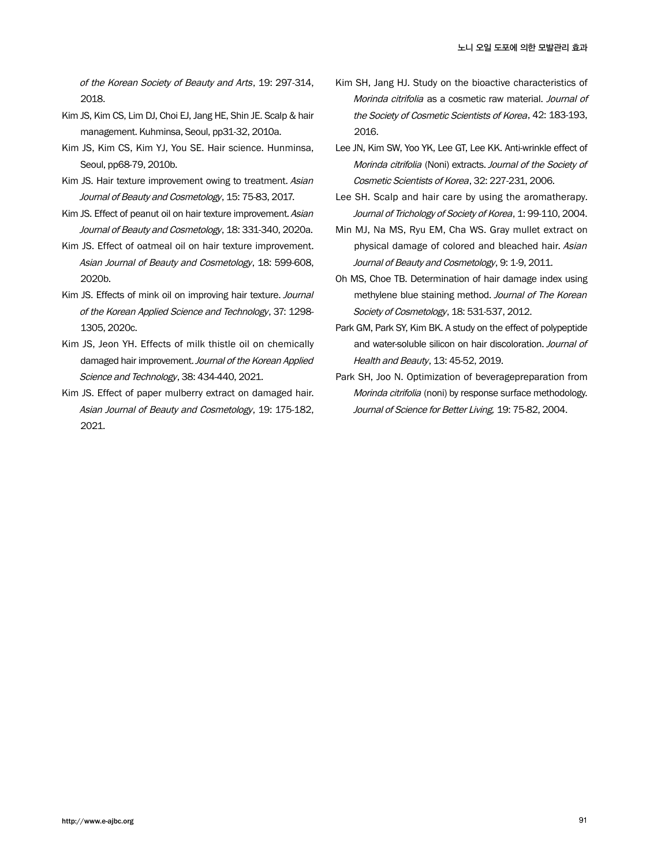of the Korean Society of Beauty and Arts, 19: 297-314, 2018.

- Kim JS, Kim CS, Lim DJ, Choi EJ, Jang HE, Shin JE. Scalp & hair management. Kuhminsa, Seoul, pp31-32, 2010a.
- Kim JS, Kim CS, Kim YJ, You SE. Hair science. Hunminsa, Seoul, pp68-79, 2010b.
- Kim JS. Hair texture improvement owing to treatment. Asian Journal of Beauty and Cosmetology, 15: 75-83, 2017.
- Kim JS. Effect of peanut oil on hair texture improvement. Asian Journal of Beauty and Cosmetology, 18: 331-340, 2020a.
- Kim JS. Effect of oatmeal oil on hair texture improvement. Asian Journal of Beauty and Cosmetology, 18: 599-608, 2020b.
- Kim JS. Effects of mink oil on improving hair texture. Journal of the Korean Applied Science and Technology, 37: 1298- 1305, 2020c.
- Kim JS, Jeon YH. Effects of milk thistle oil on chemically damaged hair improvement. Journal of the Korean Applied Science and Technology, 38: 434-440, 2021.
- Kim JS. Effect of paper mulberry extract on damaged hair. Asian Journal of Beauty and Cosmetology, 19: 175-182, 2021.
- Kim SH, Jang HJ. Study on the bioactive characteristics of Morinda citrifolia as a cosmetic raw material. Journal of the Society of Cosmetic Scientists of Korea, 42: 183-193, 2016.
- Lee JN, Kim SW, Yoo YK, Lee GT, Lee KK. Anti-wrinkle effect of Morinda citrifolia (Noni) extracts. Journal of the Society of Cosmetic Scientists of Korea, 32: 227-231, 2006.
- Lee SH. Scalp and hair care by using the aromatherapy. Journal of Trichology of Society of Korea, 1: 99-110, 2004.
- Min MJ, Na MS, Ryu EM, Cha WS. Gray mullet extract on physical damage of colored and bleached hair. Asian Journal of Beauty and Cosmetology, 9: 1-9, 2011.
- Oh MS, Choe TB. Determination of hair damage index using methylene blue staining method. Journal of The Korean Society of Cosmetology, 18: 531-537, 2012.
- Park GM, Park SY, Kim BK. A study on the effect of polypeptide and water-soluble silicon on hair discoloration. Journal of Health and Beauty, 13: 45-52, 2019.
- Park SH, Joo N. Optimization of beveragepreparation from Morinda citrifolia (noni) by response surface methodology. Journal of Science for Better Living, 19: 75-82, 2004.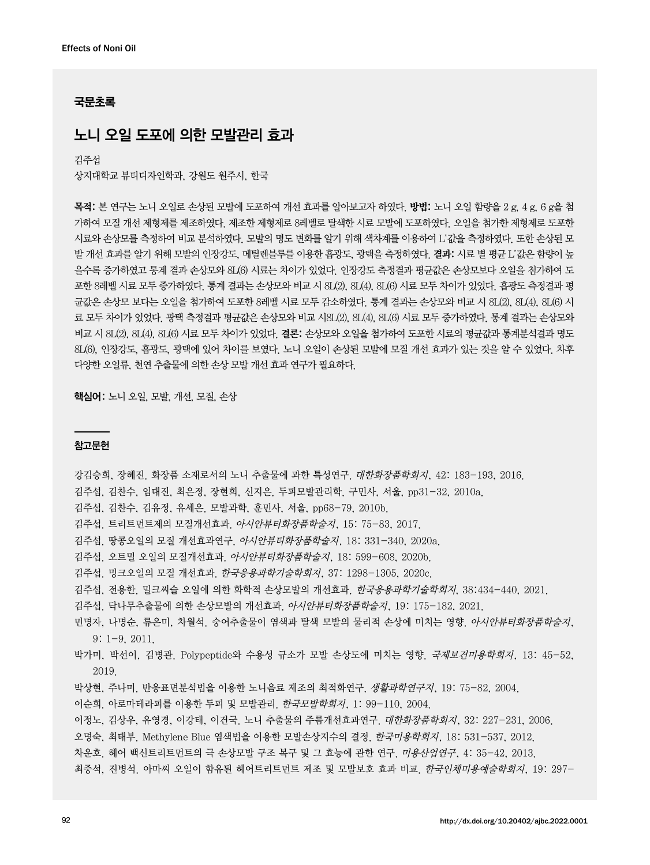## 국문초록

# 노니 오일 도포에 의한 모발관리 효과

김주섭

상지대학교 뷰티디자인학과, 강원도 원주시, 한국

목적: 본 연구는 노니 오일로 손상된 모발에 도포하여 개선 효과를 알아보고자 하였다. 방법: 노니 오일 함량을 2 g, 4 g, 6 g을 첨 가하여 모질 개선 제형제를 제조하였다. 제조한 제형제로 8레벨로 탈색한 시료 모발에 도포하였다. 오일을 첨가한 제형제로 도포한 시료와 손상모를 측정하여 비교 분석하였다. 모발의 명도 변화를 알기 위해 색차계를 이용하여 L\*값을 측정하였다. 또한 손상된 모 발 개선 효과를 알기 위해 모발의 인장강도, 메틸렌블루를 이용한 흡광도, 광택을 측정하였다. **결과:** 시료 별 평균 L\*값은 함량이 높 을수록 증가하였고 통계 결과 손상모와 8L(6) 시료는 차이가 있었다. 인장강도 측정결과 평균값은 손상모보다 오일을 첨가하여 도 포한 8레벨 시료 모두 증가하였다. 통계 결과는 손상모와 비교 시 8L(2), 8L(4), 8L(6) 시료 모두 차이가 있었다. 흡광도 측정결과 평 균값은 손상모 보다는 오일을 첨가하여 도포한 8레벨 시료 모두 감소하였다. 통계 결과는 손상모와 비교 시 8L(2), 8L(4), 8L(6) 시 료 모두 차이가 있었다. 광택 측정결과 평균값은 손상모와 비교 시8L(2), 8L(4), 8L(6) 시료 모두 증가하였다. 통계 결과는 손상모와 비교 시 8L(2), 8L(4), 8L(6) 시료 모두 차이가 있었다. 결론: 손상모와 오일을 첨가하여 도포한 시료의 평균값과 통계분석결과 명도 8L(6), 인장강도, 흡광도, 광택에 있어 차이를 보였다. 노니 오일이 손상된 모발에 모질 개선 효과가 있는 것을 알 수 있었다. 차후 다양한 오일류, 천연 추출물에 의한 손상 모발 개선 효과 연구가 필요하다.

핵심어: 노니 오일, 모발, 개선, 모질, 손상

#### 참고문헌

강김승희, 장혜진. 화장품 소재로서의 노니 추출물에 과한 특성연구. 대한화장품학회지, 42: 183-193, 2016.

김주섭, 김찬수, 임대진, 최은정, 장현희, 신지은. 두피모발관리학. 구민사, 서울, pp31-32, 2010a.

김주섭, 김찬수, 김유정, 유세은. 모발과학, 훈민사, 서울, pp68-79, 2010b.

- 김주섭. 트리트먼트제의 모질개선효과. 아시안뷰티화장품학술지, 15: 75-83, 2017.
- 김주섭. 땅콩오일의 모질 개선효과연구. 아시안뷰티화장품학술지, 18: 331-340, 2020a.
- 김주섭. 오트밀 오일의 모질개선효과. 아시안뷰티화장품학술지, 18: 599-608, 2020b.
- 김주섭. 밍크오일의 모질 개선효과. 한국응용과학기술학회지, 37: 1298-1305, 2020c.
- 김주섭, 전용한. 밀크씨슬 오일에 의한 화학적 손상모발의 개선효과. 한국응용과학기술학회지, 38:434-440, 2021.
- 김주섭. 닥나무추출물에 의한 손상모발의 개선효과. 아시안뷰티화장품학술지, 19: 175-182, 2021.
- <u>민명자, 나명순, 류은미, 차월석, 숭어추출물이 염색과 탈색 모발의 물리적 손상에 미치는 영향. *아시안뷰티화장품학술지*,</u> 9: 1-9, 2011.
- 박가미, 박선이, 김병관. Polypeptide와 수용성 규소가 모발 손상도에 미치는 영향. *국제보건미용학회지*, 13: 45-52, 2019.
- 박상현, 주나미. 반응표면분석법을 이용한 노니음료 제조의 최적화연구. 생활과학연구지, 19: 75-82, 2004.
- 이순희. 아로마테라피를 이용한 두피 및 모발관리. 한국모발학회지, 1: 99-110, 2004.
- 이정노, 김상우, 유영경, 이강태, 이건국. 노니 추출물의 주름개선효과연구. 대한화장품학회지, 32: 227-231, 2006.
- 오명숙, 최태부. Methylene Blue 염색법을 이용한 모발손상지수의 결정. 한국미용학회지, 18: 531-537, 2012.
- 차운호. 헤어 백신트리트먼트의 극 손상모발 구조 복구 및 그 효능에 관한 연구. 미용산업연구, 4: 35-42, 2013.
- 최중석, 진병석. 아마씨 오일이 함유된 헤어트리트먼트 제조 및 모발보호 효과 비교. 한국인체미용예술학회지, 19: 297-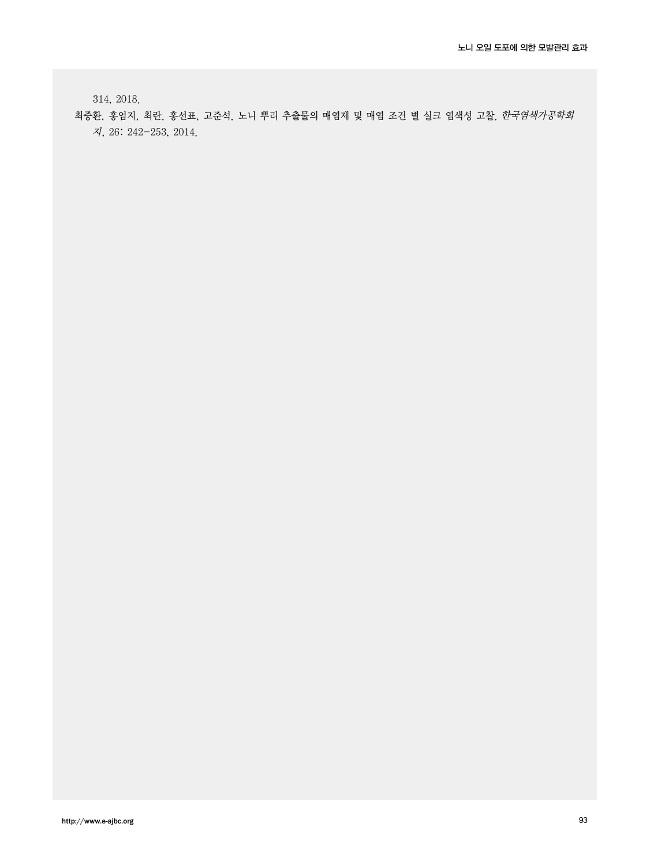314, 2018.

최중환, 홍엄지, 최란. 홍선표, 고준석. 노니 뿌리 추출물의 매염제 및 매염 조건 별 실크 염색성 고찰. 한국염색가공학회 지, 26: 242-253, 2014.